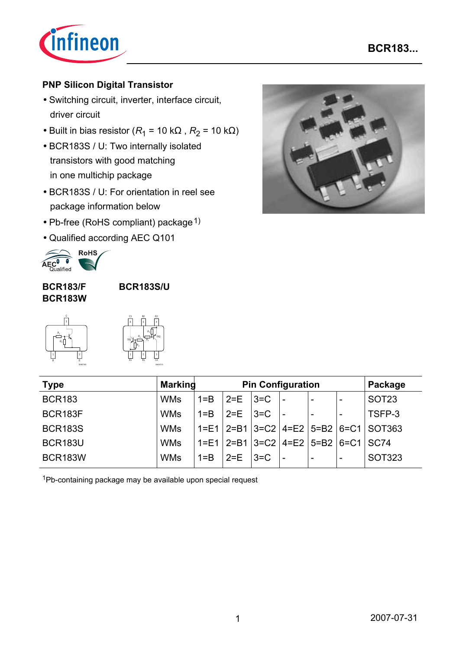

### **PNP Silicon Digital Transistor**

- Switching circuit, inverter, interface circuit, driver circuit
- Built in bias resistor ( $R_1$  = 10 k $\Omega$ ,  $R_2$  = 10 k $\Omega$ )
- BCR183S / U: Two internally isolated transistors with good matching in one multichip package
- BCR183S / U: For orientation in reel see package information below
- Pb-free (RoHS compliant) package  $1$ )
- Qualified according AEC Q101



#### **BCR183/F BCR183W**

**BCR183S/U**





EHA07173

| <b>Type</b>    | <b>Marking</b> | <b>Pin Configuration</b> |         |         |                                | Package                  |  |                                                      |
|----------------|----------------|--------------------------|---------|---------|--------------------------------|--------------------------|--|------------------------------------------------------|
| <b>BCR183</b>  | <b>WMs</b>     | $1 = B$                  | $2 = E$ | $3 = C$ | $\qquad \qquad$                | -                        |  | SOT <sub>23</sub>                                    |
| BCR183F        | <b>WMs</b>     | $1 = B$                  | $2 = E$ | $3 = C$ |                                |                          |  | TSFP-3                                               |
| <b>BCR183S</b> | <b>WMs</b>     |                          |         |         |                                |                          |  | $1 = E1$   2=B1   3=C2   4=E2   5=B2   6=C1   SOT363 |
| <b>BCR183U</b> | <b>WMs</b>     | $1 = E1$                 |         |         | $2=1$ 3=C2 4=E2 5=B2 6=C1 SC74 |                          |  |                                                      |
| <b>BCR183W</b> | <b>WMs</b>     | $1 = B$                  | $2 = E$ | $3=$ C  |                                | $\overline{\phantom{0}}$ |  | SOT323                                               |

1Pb-containing package may be available upon special request

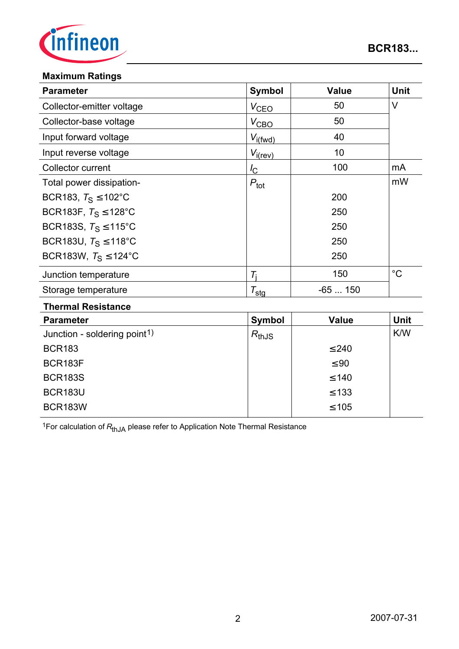

#### **Maximum Ratings**

| <b>Parameter</b>                 | <b>Symbol</b>    | <b>Value</b> | <b>Unit</b> |
|----------------------------------|------------------|--------------|-------------|
| Collector-emitter voltage        | $V_{\text{CEO}}$ | 50           | V           |
| Collector-base voltage           | $V_{\text{CBO}}$ | 50           |             |
| Input forward voltage            | $V_{i(fwd)}$     | 40           |             |
| Input reverse voltage            | $V_{i(rev)}$     | 10           |             |
| Collector current                | $I_{\rm C}$      | 100          | mA          |
| Total power dissipation-         | $P_{\text{tot}}$ |              | mW          |
| BCR183, $T_S \le 102^{\circ}$ C  |                  | 200          |             |
| BCR183F, $T_S \le 128^{\circ}$ C |                  | 250          |             |
| BCR183S, $T_S \le 115^{\circ}$ C |                  | 250          |             |
| BCR183U, $T_S \le 118^{\circ}$ C |                  | 250          |             |
| BCR183W, $T_S \le 124$ °C        |                  | 250          |             |
| Junction temperature             | $T_{i}$          | 150          | $^{\circ}C$ |
| Storage temperature              | $T_{\text{sta}}$ | $-65150$     |             |

#### **Thermal Resistance**

| <b>Parameter</b>                         | Symbol     | <b>Value</b> | <b>Unit</b> |
|------------------------------------------|------------|--------------|-------------|
| Junction - soldering point <sup>1)</sup> | $R_{thJS}$ |              | K/W         |
| <b>BCR183</b>                            |            | $\leq 240$   |             |
| BCR183F                                  |            | $\leq 90$    |             |
| <b>BCR183S</b>                           |            | $\leq 140$   |             |
| <b>BCR183U</b>                           |            | $\leq 133$   |             |
| <b>BCR183W</b>                           |            | $\leq 105$   |             |

<sup>1</sup>For calculation of  $R_{thJA}$  please refer to Application Note Thermal Resistance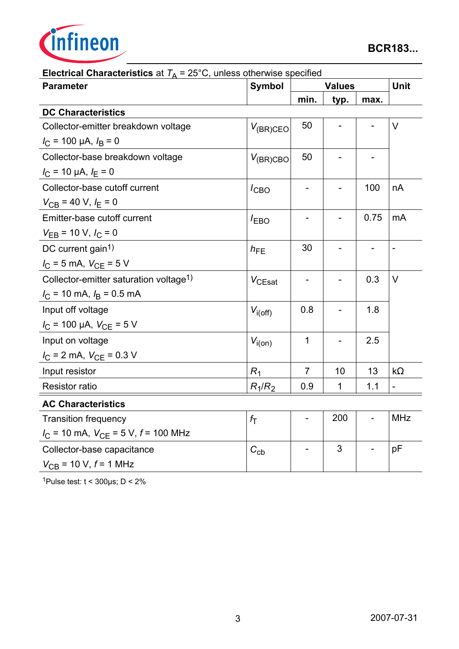

| $\mu$ of ideal original control of $\mu$ $\mu$ $\mu$ $\sigma$ of $\sigma$ , and $\sigma$ of ideal whole operation<br><b>Parameter</b> | Symbol           |                          | <b>Values</b> |      |                          |  |
|---------------------------------------------------------------------------------------------------------------------------------------|------------------|--------------------------|---------------|------|--------------------------|--|
|                                                                                                                                       |                  | min.                     | typ.          | max. |                          |  |
| <b>DC Characteristics</b>                                                                                                             |                  |                          |               |      |                          |  |
| Collector-emitter breakdown voltage                                                                                                   | $V_{(BR)CEO}$    | 50                       |               |      | $\vee$                   |  |
| $I_C$ = 100 µA, $I_B$ = 0                                                                                                             |                  |                          |               |      |                          |  |
| Collector-base breakdown voltage                                                                                                      | $V_{(BR)CBO}$    | 50                       |               |      |                          |  |
| $I_{\rm C}$ = 10 µA, $I_{\rm E}$ = 0                                                                                                  |                  |                          |               |      |                          |  |
| Collector-base cutoff current                                                                                                         | $I_{CBO}$        |                          |               | 100  | nA                       |  |
| $V_{CB}$ = 40 V, $I_E$ = 0                                                                                                            |                  |                          |               |      |                          |  |
| Emitter-base cutoff current                                                                                                           | $I_{EBO}$        |                          |               | 0.75 | mA                       |  |
| $V_{EB}$ = 10 V, $I_C$ = 0                                                                                                            |                  |                          |               |      |                          |  |
| DC current gain <sup>1)</sup>                                                                                                         | $h_{FE}$         | 30                       |               |      | $\overline{\phantom{a}}$ |  |
| $I_C = 5$ mA, $V_{CE} = 5$ V                                                                                                          |                  |                          |               |      |                          |  |
| Collector-emitter saturation voltage <sup>1)</sup>                                                                                    | $V_{CEsat}$      |                          |               | 0.3  | $\vee$                   |  |
| $I_C$ = 10 mA, $I_B$ = 0.5 mA                                                                                                         |                  |                          |               |      |                          |  |
| Input off voltage                                                                                                                     | $V_{i(off)}$     | 0.8                      |               | 1.8  |                          |  |
| $I_{\rm C}$ = 100 µA, $V_{\rm CE}$ = 5 V                                                                                              |                  |                          |               |      |                          |  |
| Input on voltage                                                                                                                      | $V_{i(0n)}$      | $\mathbf{1}$             |               | 2.5  |                          |  |
| $I_{\rm C}$ = 2 mA, $V_{\rm CE}$ = 0.3 V                                                                                              |                  |                          |               |      |                          |  |
| Input resistor                                                                                                                        | R <sub>1</sub>   | $\overline{7}$           | 10            | 13   | $k\Omega$                |  |
| <b>Resistor ratio</b>                                                                                                                 | $R_1/R_2$        | 0.9                      | 1             | 1.1  | $\blacksquare$           |  |
| <b>AC Characteristics</b>                                                                                                             |                  |                          |               |      |                          |  |
| <b>Transition frequency</b>                                                                                                           | $f_{\mathsf{T}}$ | $\overline{\phantom{a}}$ | 200           |      | <b>MHz</b>               |  |
| $I_{\text{C}}$ = 10 mA, $V_{\text{CE}}$ = 5 V, $f$ = 100 MHz                                                                          |                  |                          |               |      |                          |  |
| Collector-base capacitance                                                                                                            | $C_{\text{cb}}$  |                          | 3             |      | pF                       |  |
| $V_{CB}$ = 10 V, $f$ = 1 MHz                                                                                                          |                  |                          |               |      |                          |  |

**Electrical Characteristics** at  $T_A = 25^{\circ}$ C, unless otherwise specified

1Pulse test:  $t < 300 \mu s$ ;  $D < 2\%$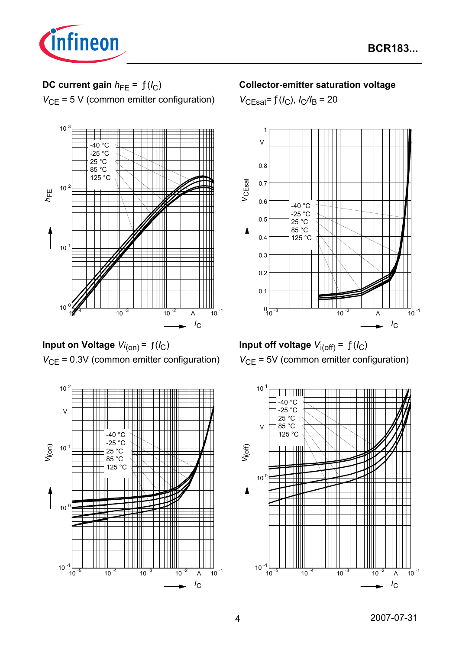

# **DC current gain**  $h_{FE} = f(l_C)$ *V*<sub>CE</sub> = 5 V (common emitter configuration)



**Input on Voltage**  $Vi_{(on)} = f(I_C)$ *V*<sub>CE</sub> = 0.3V (common emitter configuration)



### **Collector-emitter saturation voltage**

 $V_{\text{CEsat}} = f(I_C)$ ,  $I_C/I_B = 20$ 



**Input off voltage**  $V_{i(off)} = f(I_C)$ *V*<sub>CE</sub> = 5V (common emitter configuration)

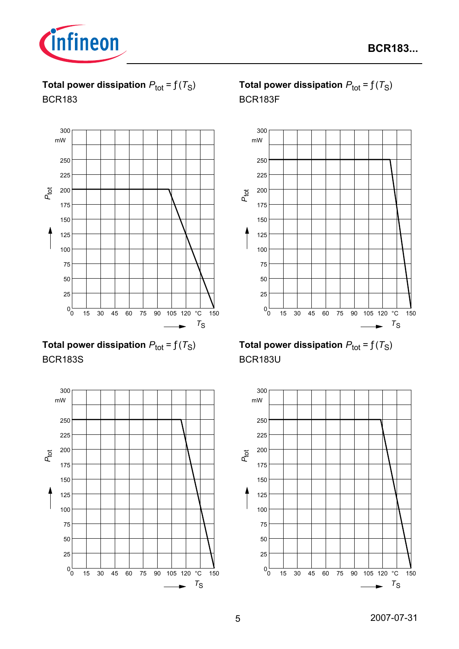

**Total power dissipation**  $P_{\text{tot}} = f(T_S)$ BCR183



**Total power dissipation**  $P_{\text{tot}} = f(T_S)$ BCR183S



# **Total power dissipation**  $P_{\text{tot}} = f(T_S)$ BCR183F



# **Total power dissipation**  $P_{\text{tot}} = f(T_S)$ BCR183U

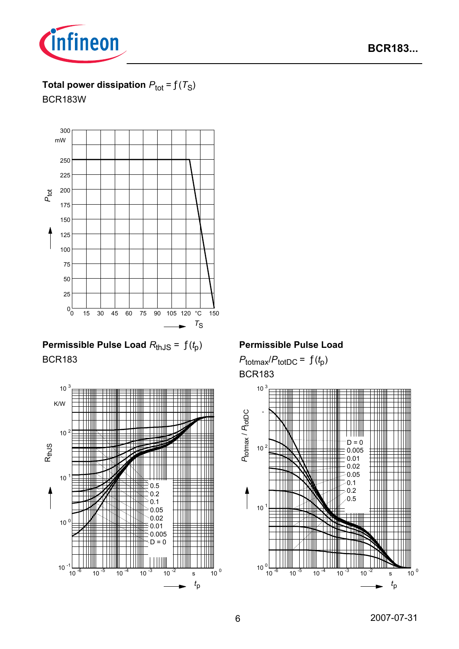



# **Total power dissipation**  $P_{\text{tot}} = f(T_S)$

BCR183W



# **Permissible Pulse Load** *R*thJS = ƒ(*t* p) BCR183



### **Permissible Pulse Load**

 $P_{\text{totmax}}/P_{\text{totDC}} = f(t_p)$ BCR183

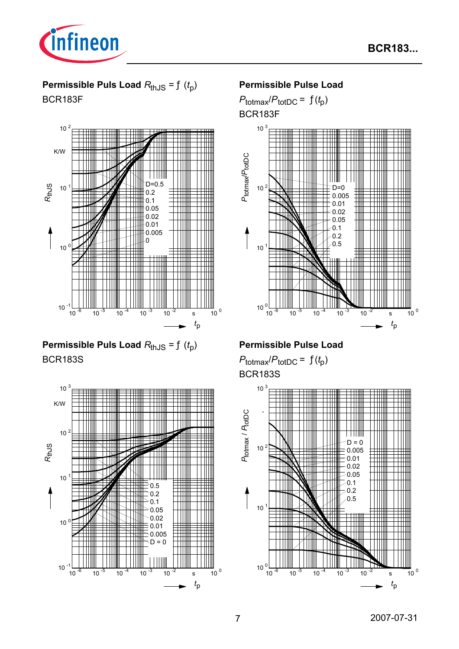

# **Permissible Puls Load**  $R_{thJS} = f(t_p)$ BCR183F



**Permissible Puls Load**  $R_{th,JS} = f(t_0)$ BCR183S



#### **Permissible Pulse Load**

 $P_{\text{totmax}}/P_{\text{totDC}} = f(t_p)$ 

BCR183F



### **Permissible Pulse Load**

 $P_{\text{totmax}}/P_{\text{totDC}} = f(t_p)$ BCR183S

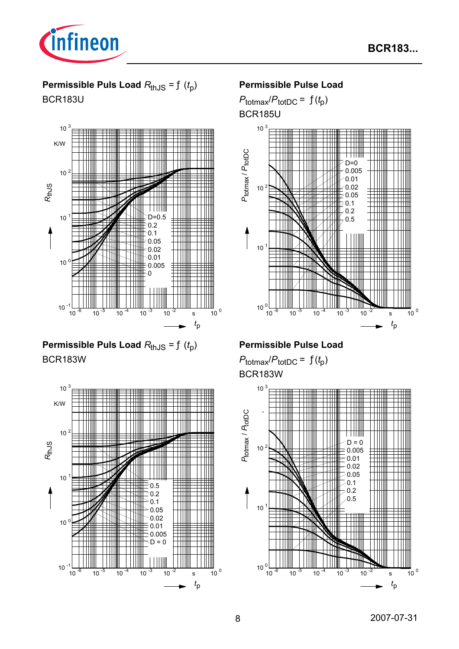

# **Permissible Puls Load**  $R_{thJS} = f(t_p)$ BCR183U



**Permissible Puls Load**  $R_{thJS} = f(t_p)$ BCR183W



### **Permissible Pulse Load**





### **Permissible Pulse Load**

 $P_{\text{totmax}}/P_{\text{totDC}} = f(t_p)$ BCR183W

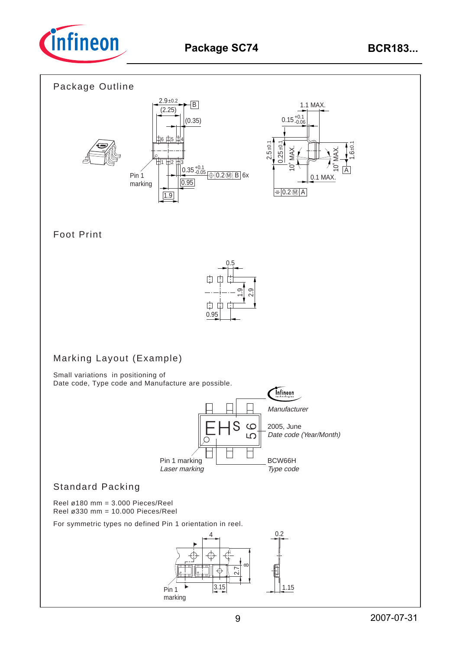

### Package Outline



### Foot Print



## Marking Layout (Example)

Small variations in positioning of Date code, Type code and Manufacture are possible.



## Standard Packing

Reel ø180 mm = 3.000 Pieces/Reel Reel ø330 mm = 10.000 Pieces/Reel

For symmetric types no defined Pin 1 orientation in reel.

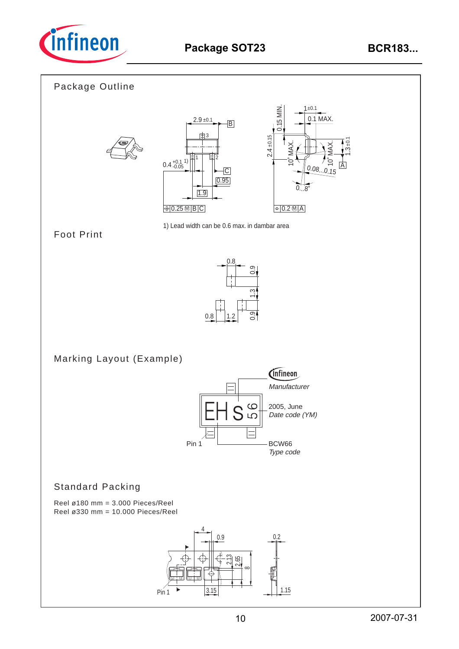

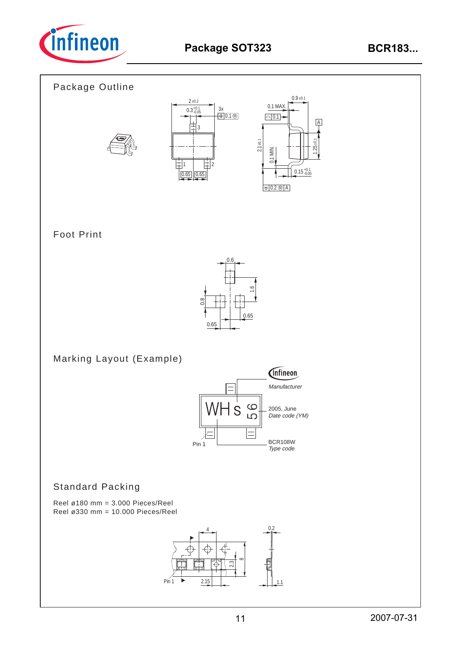

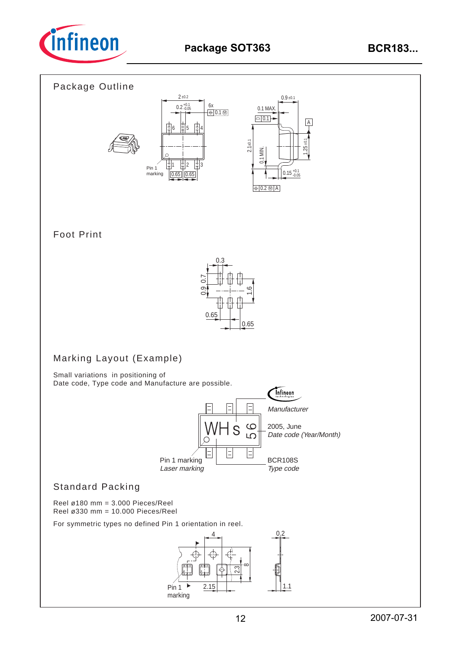

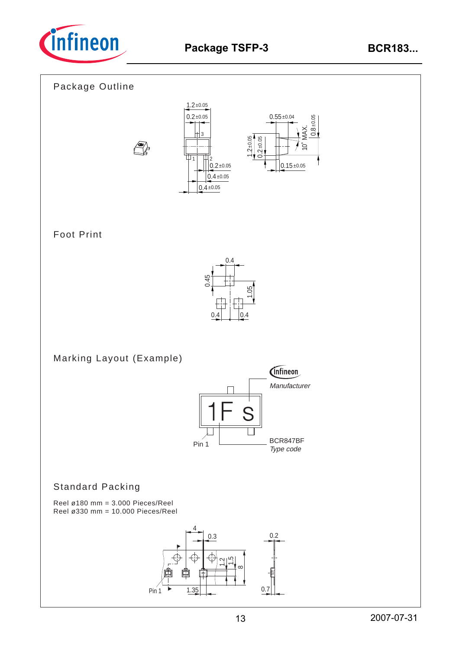









# Foot Print



Marking Layout (Example)



## Standard Packing

Reel ø180 mm = 3.000 Pieces/Reel Reel ø330 mm = 10.000 Pieces/Reel